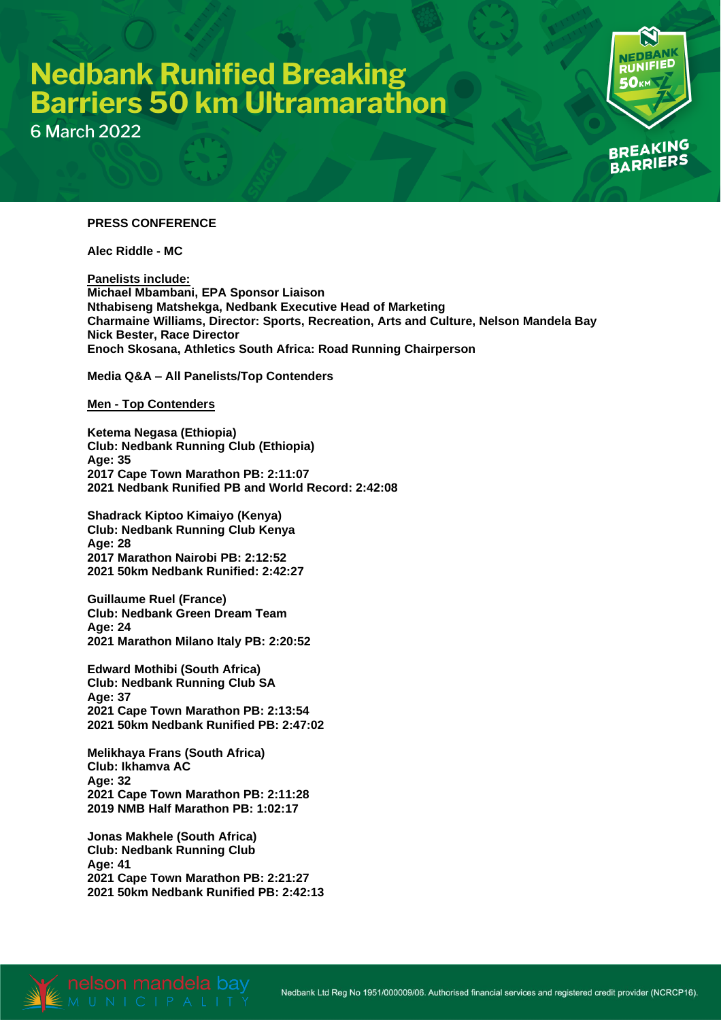# **Nedbank Runified Breaking<br>Barriers 50 km Ultramarathon**

**6 March 2022** 

### **NK UNIFIED** Ωv **BREAKING** RRIERS

#### **PRESS CONFERENCE**

**Alec Riddle - MC**

**Panelists include: Michael Mbambani, EPA Sponsor Liaison Nthabiseng Matshekga, Nedbank Executive Head of Marketing Charmaine Williams, Director: Sports, Recreation, Arts and Culture, Nelson Mandela Bay Nick Bester, Race Director Enoch Skosana, Athletics South Africa: Road Running Chairperson**

**Media Q&A – All Panelists/Top Contenders**

#### **Men - Top Contenders**

**Ketema Negasa (Ethiopia) Club: Nedbank Running Club (Ethiopia) Age: 35 2017 Cape Town Marathon PB: 2:11:07 2021 Nedbank Runified PB and World Record: 2:42:08**

**Shadrack Kiptoo Kimaiyo (Kenya) Club: Nedbank Running Club Kenya Age: 28 2017 Marathon Nairobi PB: 2:12:52 2021 50km Nedbank Runified: 2:42:27**

**Guillaume Ruel (France) Club: Nedbank Green Dream Team Age: 24 2021 Marathon Milano Italy PB: 2:20:52**

**Edward Mothibi (South Africa) Club: Nedbank Running Club SA Age: 37 2021 Cape Town Marathon PB: 2:13:54 2021 50km Nedbank Runified PB: 2:47:02**

**Melikhaya Frans (South Africa) Club: Ikhamva AC Age: 32 2021 Cape Town Marathon PB: 2:11:28 2019 NMB Half Marathon PB: 1:02:17**

**Jonas Makhele (South Africa) Club: Nedbank Running Club Age: 41 2021 Cape Town Marathon PB: 2:21:27 2021 50km Nedbank Runified PB: 2:42:13**